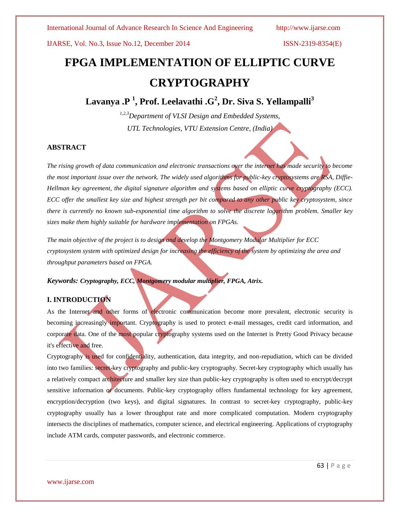IJARSE, Vol. No.3, Issue No.12, December 2014 ISSN-2319-8354(E)

# **FPGA IMPLEMENTATION OF ELLIPTIC CURVE CRYPTOGRAPHY**

**Lavanya .P <sup>1</sup> , Prof. Leelavathi .G<sup>2</sup> , Dr. Siva S. Yellampalli<sup>3</sup>**

*1,2,3Department of VLSI Design and Embedded Systems, UTL Technologies, VTU Extension Centre, (India)*

### **ABSTRACT**

*The rising growth of data communication and electronic transactions over the internet has made security to become the most important issue over the network. The widely used algorithms for public-key cryptosystems are RSA, Diffie-Hellman key agreement, the digital signature algorithm and systems based on elliptic curve cryptography (ECC). ECC offer the smallest key size and highest strength per bit compared to any other public key cryptosystem, since there is currently no known sub-exponential time algorithm to solve the discrete logarithm problem. Smaller key sizes make them highly suitable for hardware implementation on FPGAs.*

*The main objective of the project is to design and develop the Montgomery Modular Multiplier for ECC cryptosystem system with optimized design for increasing the efficiency of the system by optimizing the area and throughput parameters based on FPGA.*

*Keywords: Cryptography, ECC, Montgomery modular multiplier, FPGA, Atrix.*

#### **I. INTRODUCTION**

As the [Internet](http://www.webopedia.com/TERM/I/Internet.htm) and other forms of electronic communication become more prevalent, electronic [security](http://www.webopedia.com/TERM/S/security.htm) is becoming increasingly important. Cryptography is used to protect [e-mail](http://www.webopedia.com/TERM/E/e_mail.htm) messages, credit card information, and corporate data. One of the most popular cryptography systems used on the Internet is [Pretty Good Privacy](http://www.webopedia.com/TERM/P/Pretty_Good_Privacy.htm) because it's effective and free.

Cryptography is used for confidentiality, authentication, data integrity, and non-repudiation, which can be divided into two families: secret-key cryptography and public-key cryptography. Secret-key cryptography which usually has a relatively compact architecture and smaller key size than public-key cryptography is often used to encrypt/decrypt sensitive information or documents. Public-key cryptography offers fundamental technology for key agreement, encryption/decryption (two keys), and digital signatures. In contrast to secret-key cryptography, public-key cryptography usually has a lower throughput rate and more complicated computation. Modern cryptography intersects the disciplines of [mathematics,](http://en.wikipedia.org/wiki/Mathematics) [computer science,](http://en.wikipedia.org/wiki/Computer_science) an[d electrical engineering.](http://en.wikipedia.org/wiki/Electrical_engineering) Applications of cryptography include [ATM cards,](http://en.wikipedia.org/wiki/Automated_teller_machine) [computer passwords,](http://en.wikipedia.org/wiki/Password) and [electronic commerce.](http://en.wikipedia.org/wiki/Electronic_commerce)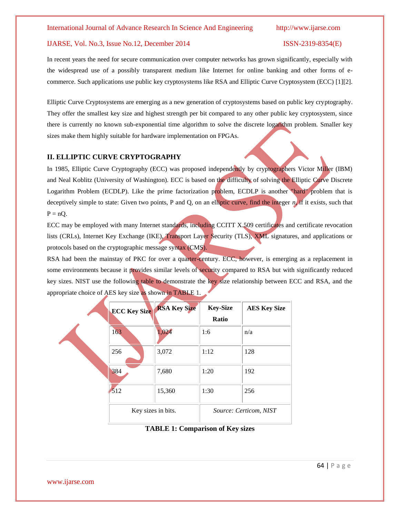#### IJARSE, Vol. No.3, Issue No.12, December 2014 ISSN-2319-8354(E)

In recent years the need for secure communication over computer networks has grown significantly, especially with the widespread use of a possibly transparent medium like Internet for online banking and other forms of ecommerce. Such applications use public key cryptosystems like RSA and Elliptic Curve Cryptosystem (ECC) [1][2].

Elliptic Curve Cryptosystems are emerging as a new generation of cryptosystems based on public key cryptography. They offer the smallest key size and highest strength per bit compared to any other public key cryptosystem, since there is currently no known sub-exponential time algorithm to solve the discrete logarithm problem. Smaller key sizes make them highly suitable for hardware implementation on FPGAs.

### **II. ELLIPTIC CURVE CRYPTOGRAPHY**

In 1985, Elliptic Curve Cryptography (ECC) was proposed independently by cryptographers Victor Miller (IBM) and Neal Koblitz (University of Washington). ECC is based on the difficulty of solving the Elliptic Curve Discrete Logarithm Problem (ECDLP). Like the prime factorization problem, ECDLP is another "hard" problem that is deceptively simple to state: Given two points, P and Q, on an elliptic curve, find the integer *n*, if it exists, such that  $P = nQ$ .

ECC may be employed with many Internet standards, including CCITT X.509 certificates and certificate revocation lists (CRLs), Internet Key Exchange (IKE), Transport Layer Security (TLS), XML signatures, and applications or protocols based on the cryptographic message syntax (CMS).

RSA had been the mainstay of PKC for over a quarter-century. ECC, however, is emerging as a replacement in some environments because it provides similar levels of security compared to RSA but with significantly reduced key sizes. NIST use the following table to demonstrate the key size relationship between ECC and RSA, and the appropriate choice of AES key size as shown in TABLE 1.

| <b>ECC Key Size</b> | <b>RSA Key Size</b> | <b>Key-Size</b><br>Ratio | <b>AES Key Size</b> |  |
|---------------------|---------------------|--------------------------|---------------------|--|
| 163                 | 1,024               | 1:6                      | n/a                 |  |
| 256                 | 3,072               | 1:12                     | 128                 |  |
| 384                 | 7,680               | 1:20                     | 192                 |  |
| 512                 | 15,360              | 1:30                     | 256                 |  |
| Key sizes in bits.  |                     | Source: Certicom, NIST   |                     |  |

**TABLE 1: Comparison of Key sizes**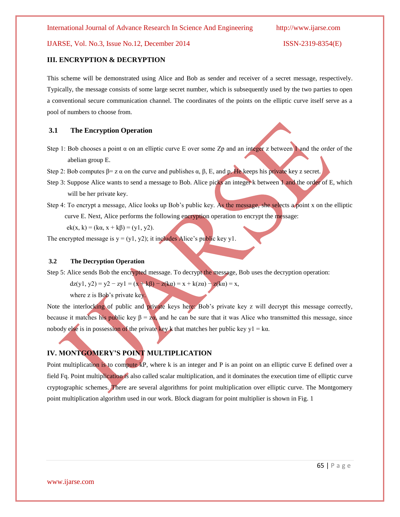### IJARSE, Vol. No.3, Issue No.12, December 2014 ISSN-2319-8354(E)

#### **III. ENCRYPTION & DECRYPTION**

This scheme will be demonstrated using Alice and Bob as sender and receiver of a secret message, respectively. Typically, the message consists of some large secret number, which is subsequently used by the two parties to open a conventional secure communication channel. The coordinates of the points on the elliptic curve itself serve as a pool of numbers to choose from.

#### **3.1 The Encryption Operation**

- Step 1: Bob chooses a point  $\alpha$  on an elliptic curve E over some Zp and an integer z between 1 and the order of the abelian group E.
- Step 2: Bob computes  $\beta = z \alpha$  on the curve and publishes  $\alpha$ ,  $\beta$ , E, and p. He keeps his private key z secret.
- Step 3: Suppose Alice wants to send a message to Bob. Alice picks an integer k between 1 and the order of E, which will be her private key.
- Step 4: To encrypt a message, Alice looks up Bob's public key. As the message, she selects a point x on the elliptic curve E. Next, Alice performs the following encryption operation to encrypt the message:

 $ek(x, k) = (k\alpha, x + k\beta) = (y1, y2).$ 

The encrypted message is  $y = (y1, y2)$ ; it includes Alice's public key y1.

#### **3.2 The Decryption Operation**

Step 5: Alice sends Bob the encrypted message. To decrypt the message, Bob uses the decryption operation:

$$
dz(y1, y2) = y2 - zy1 = (x + k\beta) - z(ka) = x + k(za) - z(ka) = x,
$$

where z is Bob's private key.

Note the interlocking of public and private keys here: Bob's private key z will decrypt this message correctly, because it matches his public key  $\beta = \frac{z_0}{a}$  and he can be sure that it was Alice who transmitted this message, since nobody else is in possession of the private key k that matches her public key y1 = k $\alpha$ .

## **IV. MONTGOMERY'S POINT MULTIPLICATION**

Point multiplication is to compute kP, where k is an integer and P is an point on an elliptic curve E defined over a field Fq. Point multiplication is also called scalar multiplication, and it dominates the execution time of elliptic curve cryptographic schemes. There are several algorithms for point multiplication over elliptic curve. The Montgomery point multiplication algorithm used in our work. Block diagram for point multiplier is shown in Fig. 1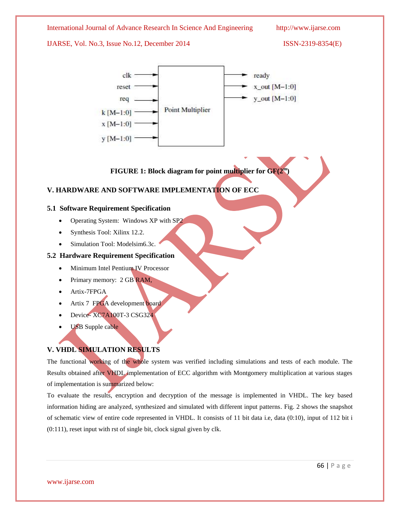

The functional working of the whole system was verified including simulations and tests of each module. The Results obtained after VHDL implementation of ECC algorithm with Montgomery multiplication at various stages of implementation is summarized below:

To evaluate the results, encryption and decryption of the message is implemented in VHDL. The key based information hiding are analyzed, synthesized and simulated with different input patterns. Fig. 2 shows the snapshot of schematic view of entire code represented in VHDL. It consists of 11 bit data i.e, data (0:10), input of 112 bit i (0:111), reset input with rst of single bit, clock signal given by clk.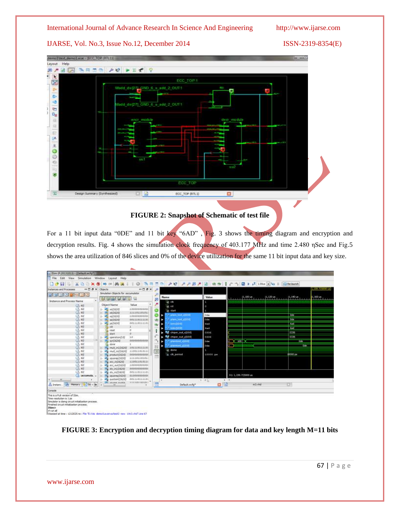#### IJARSE, Vol. No.3, Issue No.12, December 2014 ISSN-2319-8354(E)



# **FIGURE 2: Snapshot of Schematic of test file**

For a 11 bit input data "0DE" and 11 bit key "6AD", Fig. 3 shows the timing diagram and encryption and decryption results. Fig. 4 shows the simulation clock frequency of 403.177 MHz and time 2.480 ηSec and Fig.5 shows the area utilization of 846 slices and 0% of the device utilization for the same 11 bit input data and key size.

| - ISm (P.20131013) - (Default.wcfg*)                                                                                                                                                                                                                                                                   |                                                                                                                                                                                                                                                                                                                                                                                                                                                                                                                                                                                                                                                                                                                                                                    |                                                                                                                                                                                                                                                                      |                                                                                          |                                                           |                                                                                                                                                               |
|--------------------------------------------------------------------------------------------------------------------------------------------------------------------------------------------------------------------------------------------------------------------------------------------------------|--------------------------------------------------------------------------------------------------------------------------------------------------------------------------------------------------------------------------------------------------------------------------------------------------------------------------------------------------------------------------------------------------------------------------------------------------------------------------------------------------------------------------------------------------------------------------------------------------------------------------------------------------------------------------------------------------------------------------------------------------------------------|----------------------------------------------------------------------------------------------------------------------------------------------------------------------------------------------------------------------------------------------------------------------|------------------------------------------------------------------------------------------|-----------------------------------------------------------|---------------------------------------------------------------------------------------------------------------------------------------------------------------|
| <sup>T</sup> File<br>Edit View<br>怂<br>¥.<br><b>QD</b><br>н<br>$\mathbf x$                                                                                                                                                                                                                             | Simulation Window Layout Help<br>$\circ$<br>×                                                                                                                                                                                                                                                                                                                                                                                                                                                                                                                                                                                                                                                                                                                      | <b>ETA</b>                                                                                                                                                                                                                                                           |                                                                                          | <b>AR ABBAB</b> 出血  1 r 1   国 → x 100s → u     Diteitundi |                                                                                                                                                               |
| $\cdots \Box$ $\theta$ $\times$<br>Instances and Processes<br>但医师医自愿的医<br>Instance and Process Name<br>C5 :62<br>C5 :62<br>(占 币2<br>C5 162<br><b>CS 62</b><br>CG 162<br>Ch :62<br>C5 :62<br>(片 62)<br>C/S 162<br>LG 62<br>(占 62<br>$C_1$ 62<br>G 62<br>15 62<br>G 62<br>C5 +62<br>$C_2 + 62$<br>C/1 62 | $+0.8 \times$<br>Objects<br>Simulation Objects for saccumulator<br><b>BIT BAT DAR EAST RET HIGH LAN</b><br>Object Name<br>Value<br>26<br>10000000000<br>xd(2620)<br>ь<br>噊<br>¥6(3620)<br>111101101011<br><b>IB</b><br>100000000000<br>æ<br>xa(2624)<br>×<br>xp/26201<br>00111011110<br>16<br>a.<br>001110111101<br>yp(2626)<br>$\sim$<br>cik<br>reset<br>o<br>stuart<br>J.<br>10 <sub>1</sub><br>operation/1:07<br>ь<br>wr(1620)<br>00000000000<br>done<br>101110111101<br>mult in106267<br>m<br>11001101011<br>mult_in2(1620)<br>×<br>-6<br>ally product(2620)<br>000000000000<br><b>ID</b><br>squarep(1620)<br>111101101011<br>p.<br>acc indicade<br>110011010110<br>œ.<br>atc_out(1620)<br>100000000000<br>×<br>- 1<br>000000000001<br>ally div in2(1620)<br>× | ×<br>Name<br>g<br>Lite clk<br>lie rst<br>lik start<br>plant text village<br>ω<br><b>Splain Text you or</b><br>近<br>٠<br>$k$ enaDDII<br>由<br>٠<br>kdechom<br>ì<br>out_x[10:0]<br>out y[100]<br>planted states<br>T Blanteit (GOO)<br>ы<br>a done<br>西<br>e cit period | Value<br>c<br>dda<br>ode<br>685<br>Ead<br>0336<br>0336<br><b>Gde</b><br>Odie<br>10000 pm | $1 + 1$ $100 =$<br>$1,120 \text{ us}$<br>1.7000<br>D      | [1,159,725000 us]<br>$1.140 \text{ m}$<br>$1,060$ us $1, 1, 1$<br><b>Doe</b><br><b>Oce</b><br>man<br>6ad<br>0306<br>115.96<br><b>City</b><br>: Ode<br>2000038 |
| (马 62<br>Co raccumula.<br>$\left\langle \cdot\right\rangle$<br>m<br>曲<br>de Instanc.<br>$50 + 14$<br>-Memory                                                                                                                                                                                           | alle div_in2/162.0)<br>001110111101<br>$\sim$<br>01000000000<br>with squareg@6249<br>ь<br>guatient(1620)<br>001110111101<br>n.<br>$11150118101^{-7}$<br>construction providers<br>m.                                                                                                                                                                                                                                                                                                                                                                                                                                                                                                                                                                               | Default.wcfg*                                                                                                                                                                                                                                                        | $1 - 4 - 1$<br>ola                                                                       | X1: 1,159,725000 us<br>$9 - 4$<br>m3.vhd                  | σ                                                                                                                                                             |
| Consigle                                                                                                                                                                                                                                                                                               |                                                                                                                                                                                                                                                                                                                                                                                                                                                                                                                                                                                                                                                                                                                                                                    |                                                                                                                                                                                                                                                                      |                                                                                          |                                                           |                                                                                                                                                               |
| This is a Full version of ISm.<br>Time resolution is 1 ps<br>Smuletor is doing circuit initialization process.<br>Finished circuit initialization process.<br>ISim><br>$x$ run all                                                                                                                     |                                                                                                                                                                                                                                                                                                                                                                                                                                                                                                                                                                                                                                                                                                                                                                    |                                                                                                                                                                                                                                                                      |                                                                                          |                                                           |                                                                                                                                                               |

.<br>d'at time : 1212025 ni : File "ErAtis' demot avanvaitest2 new 1/kB.vhd" Line 67

### **FIGURE 3: Encryption and decryption timing diagram for data and key length M=11 bits**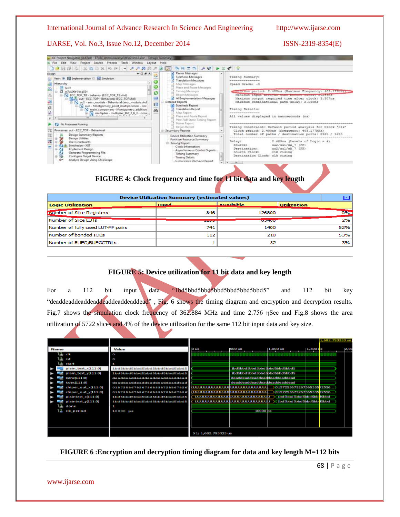### IJARSE, Vol. No.3, Issue No.12, December 2014 ISSN-2319-8354(E)



# **FIGURE 4: Clock frequency and time for 11 bit data and key length**

| <b>Device Utilization Summary (estimated values)</b> |                          |                  |                    |       |  |
|------------------------------------------------------|--------------------------|------------------|--------------------|-------|--|
| <b>Logic Utilization</b>                             | Head                     | <b>Available</b> | <b>Utilization</b> |       |  |
| number of Slice Registers                            | 846                      | 126800           |                    | $0\%$ |  |
| Number of Slice LUTs                                 | <b><i>Programmer</i></b> | <b>OOTIUU</b>    |                    | 2%    |  |
| Number of fully used LUT-FF pairs                    | 741                      | 1400             |                    | 52%   |  |
| Number of bonded IOBs                                | 112                      | 210              |                    | 53%   |  |
| Number of BUFG/BUFGCTRLs                             |                          | 32               |                    | 3%    |  |

# **FIGURE 5: Device utilization for 11 bit data and key length**

For a 112 bit input data "1bd5bbd5bbd5bbd5bbd5bbd5bbd5" and 112 bit key "deaddeaddeaddeaddeaddeaddeaddead", Fig. 6 shows the timing diagram and encryption and decryption results. Fig.7 shows the simulation clock frequency of 362.884 MHz and time 2.756 ηSec and Fig.8 shows the area utilization of 5722 slices and 4% of the device utilization for the same 112 bit input data and key size.

|             |                     |                              |                     |                                     |                                                                           |                             | 1,682,79333318 |
|-------------|---------------------|------------------------------|---------------------|-------------------------------------|---------------------------------------------------------------------------|-----------------------------|----------------|
| <b>Name</b> |                     | Value                        | 10 U.S              | 500 us                              | 1,000 us                                                                  | $1,500 \text{ }\mu\text{m}$ | 2,0            |
|             | ll dk               | D                            |                     |                                     |                                                                           |                             |                |
|             | rst                 | O                            |                     |                                     |                                                                           |                             |                |
|             | start               |                              |                     |                                     |                                                                           |                             |                |
|             | plain_text_x[111:0] | 1bd5bbd5bbd5bbd5bbd5bbd5bbd5 |                     | 1bd 5bbd 5bbd 5bbd 5bbd 5bbd 5bbd 5 |                                                                           |                             |                |
|             | plain text y[111:0] | 1bd5bbd5bbd5bbd5bbd5bbd5bbd5 |                     | 1bd Sbbd Sbbd Sbbd Sbbd Sbbd Sbbd S |                                                                           |                             |                |
|             | kenc[111:0]         | deaddeaddeaddeaddeaddeaddead |                     | deaddeaddeaddeaddeaddeaddead        |                                                                           |                             |                |
|             | kdec[111:0]         | deaddeaddeaddeaddeaddeaddead |                     | deaddeaddeaddeaddeaddeaddead        |                                                                           |                             |                |
|             | chiper out x[111:0] | 0157255675267365335725567526 |                     |                                     | (DOCUDOCIOLOGICA)CIOCIOLOGICALIDI  ) (0157255675267h6533572556            |                             |                |
|             | chiper_out_y[111:0] | 0157255675267365335725567526 |                     |                                     | (UUUUUUUUUUUUUUUUUUUUUUUUUUUU ) (0 157255675267565335 <mark>7</mark> 2556 |                             |                |
|             | plaintext_x[11110]  | 1bd5bbd5bbd5bbd5bbd5bbd5bbd5 |                     |                                     | UUUUUUUUUUUUUUUUUUUUUUUUUUU X 1bd 5bbd 5bbd 5bbd 5bbd 5bbd                |                             |                |
|             | plaintext_y[111:0]  | 1bdSbbdSbbdSbbdSbbdSbbdSbbdS |                     |                                     | uuuuuuuuuuuuuuuuuuuuuuuuuuuuka araashaashaashaashaashaasha                |                             |                |
|             | done                |                              |                     |                                     |                                                                           |                             |                |
|             | cik_period          | 10000 pm                     |                     | 10000 bs                            |                                                                           |                             |                |
|             |                     |                              |                     |                                     |                                                                           |                             |                |
|             |                     |                              |                     |                                     |                                                                           |                             |                |
|             |                     |                              |                     |                                     |                                                                           |                             |                |
|             |                     |                              | X1: 1,682,793333 us |                                     |                                                                           |                             |                |

**FIGURE 6 :Encryption and decryption timing diagram for data and key length M=112 bits**

www.ijarse.com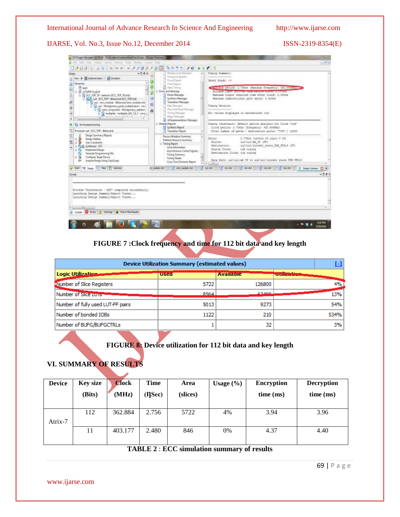IJARSE, Vol. No.3, Issue No.12, December 2014 ISSN-2319-8354(E)



# **FIGURE 7 :Clock frequency and time for 112 bit data and key length**

| <b>Device Utilization Summary (estimated values)</b> |             |                  |                               |  |  |  |
|------------------------------------------------------|-------------|------------------|-------------------------------|--|--|--|
| Logic Utilization                                    | <b>Used</b> | <b>Available</b> | <b><i><u>ALLENDON</u></i></b> |  |  |  |
| Number of Slice Registers                            | 5722        | 126800           | 4%                            |  |  |  |
| Number of Sirce Long                                 | 8564        | CO400            | 13%                           |  |  |  |
| Number of fully used LUT-FF pairs                    | 5013        | 9273             | 54%                           |  |  |  |
| Number of bonded IOBs                                | 1122        | 210              | 534%                          |  |  |  |
| Number of BUFG/BUFGCTRLs                             |             | 32               | 3%                            |  |  |  |

# **FIGURE 8: Device utilization for 112 bit data and key length**

# **VI. SUMMARY OF RESULTS**

| <b>Device</b> | <b>Key size</b><br>(Bits) | <b>Clock</b><br>(MHz) | <b>Time</b><br>$( $ Sec $)$ | Area<br>(slices) | Usage $(\% )$ | <b>Encryption</b><br>time (ms) | <b>Decryption</b><br>time (ms) |
|---------------|---------------------------|-----------------------|-----------------------------|------------------|---------------|--------------------------------|--------------------------------|
| Atrix-7       | 112                       | 362.884               | 2.756                       | 5722             | 4%            | 3.94                           | 3.96                           |
|               | 11                        | 403.177               | 2.480                       | 846              | 0%            | 4.37                           | 4.40                           |

#### **TABLE 2** : **ECC simulation summary of results**

69 | P a g e